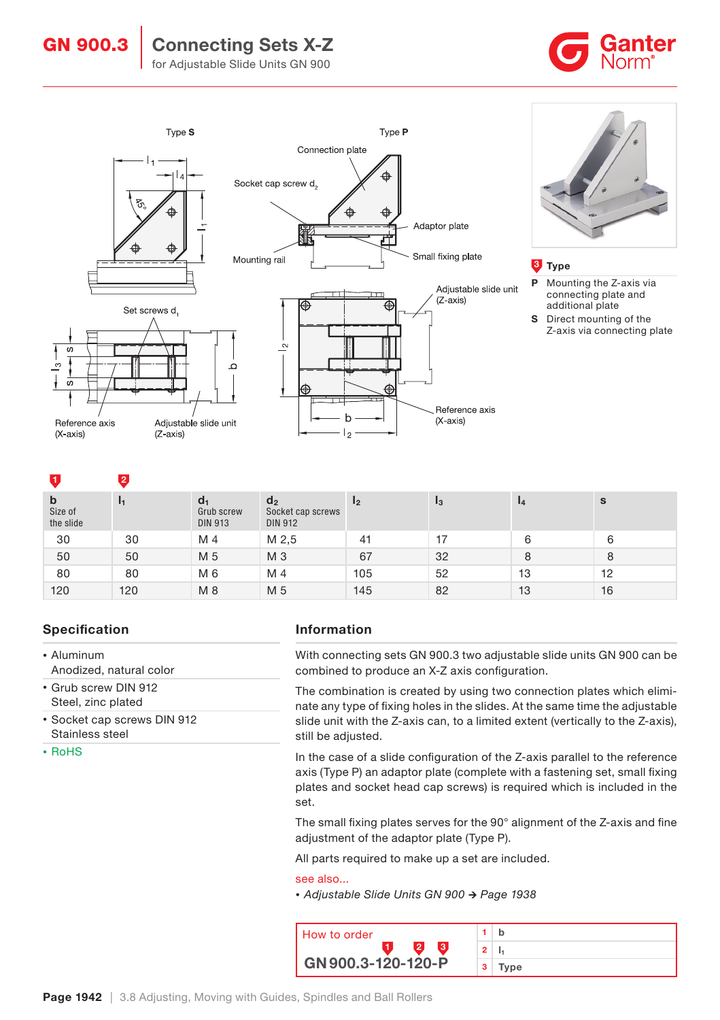# GN 900.3 | Connecting Sets X-Z



for Adjustable Slide Units GN 900







#### **3** Type

- P Mounting the Z-axis via connecting plate and additional plate
- S Direct mounting of the Z-axis via connecting plate

#### 1 2

| $\mathbf b$<br>Size of<br>the slide |     | $d_1$<br>Grub screw<br><b>DIN 913</b> | d <sub>2</sub><br>Socket cap screws<br><b>DIN 912</b> | 12  | $_{13}$ | $\mathbf{I}$ | S  |
|-------------------------------------|-----|---------------------------------------|-------------------------------------------------------|-----|---------|--------------|----|
| 30                                  | 30  | M 4                                   | M 2,5                                                 | 41  |         | 6            | 6  |
| 50                                  | 50  | M 5                                   | M <sub>3</sub>                                        | 67  | 32      | 8            | 8  |
| 80                                  | 80  | M 6                                   | M 4                                                   | 105 | 52      | 13           | 12 |
| 120                                 | 120 | M 8                                   | M 5                                                   | 145 | 82      | 13           | 16 |

## Specification

# • Aluminum

- Anodized, natural color • Grub screw DIN 912
- Steel, zinc plated
- Socket cap screws DIN 912 Stainless steel
- RoHS

### Information

With connecting sets GN 900.3 two adjustable slide units GN 900 can be combined to produce an X-Z axis configuration.

The combination is created by using two connection plates which eliminate any type of fixing holes in the slides. At the same time the adjustable slide unit with the Z-axis can, to a limited extent (vertically to the Z-axis), still be adjusted.

In the case of a slide configuration of the Z-axis parallel to the reference axis (Type P) an adaptor plate (complete with a fastening set, small fixing plates and socket head cap screws) is required which is included in the set.

The small fixing plates serves for the 90° alignment of the Z-axis and fine adjustment of the adaptor plate (Type P).

All parts required to make up a set are included.

#### see also...

*•* Adjustable Slide Units GN 900 → Page 1938

| How to order       |                |              |
|--------------------|----------------|--------------|
|                    |                | $\mathbf{2}$ |
| GN 900.3-120-120-P | 3 <sup>1</sup> | Type         |